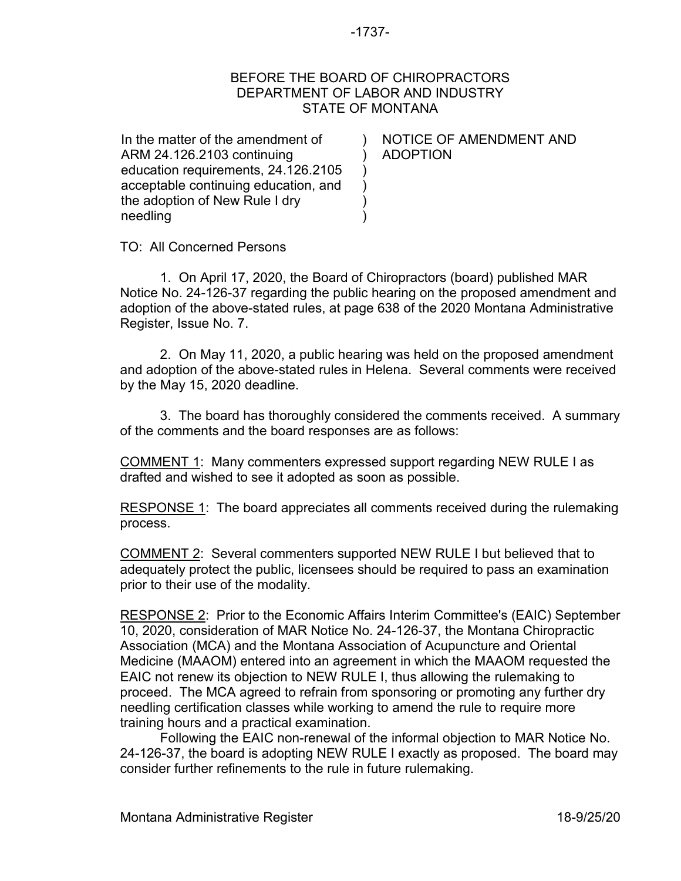## -1737-

## BEFORE THE BOARD OF CHIROPRACTORS DEPARTMENT OF LABOR AND INDUSTRY STATE OF MONTANA

 $\lambda$ ) ) ) ) )

In the matter of the amendment of ARM 24.126.2103 continuing education requirements, 24.126.2105 acceptable continuing education, and the adoption of New Rule I dry needling

NOTICE OF AMENDMENT AND ADOPTION

TO: All Concerned Persons

1. On April 17, 2020, the Board of Chiropractors (board) published MAR Notice No. 24-126-37 regarding the public hearing on the proposed amendment and adoption of the above-stated rules, at page 638 of the 2020 Montana Administrative Register, Issue No. 7.

2. On May 11, 2020, a public hearing was held on the proposed amendment and adoption of the above-stated rules in Helena. Several comments were received by the May 15, 2020 deadline.

3. The board has thoroughly considered the comments received. A summary of the comments and the board responses are as follows:

COMMENT 1: Many commenters expressed support regarding NEW RULE I as drafted and wished to see it adopted as soon as possible.

RESPONSE 1: The board appreciates all comments received during the rulemaking process.

COMMENT 2: Several commenters supported NEW RULE I but believed that to adequately protect the public, licensees should be required to pass an examination prior to their use of the modality.

RESPONSE 2: Prior to the Economic Affairs Interim Committee's (EAIC) September 10, 2020, consideration of MAR Notice No. 24-126-37, the Montana Chiropractic Association (MCA) and the Montana Association of Acupuncture and Oriental Medicine (MAAOM) entered into an agreement in which the MAAOM requested the EAIC not renew its objection to NEW RULE I, thus allowing the rulemaking to proceed. The MCA agreed to refrain from sponsoring or promoting any further dry needling certification classes while working to amend the rule to require more training hours and a practical examination.

Following the EAIC non-renewal of the informal objection to MAR Notice No. 24-126-37, the board is adopting NEW RULE I exactly as proposed. The board may consider further refinements to the rule in future rulemaking.